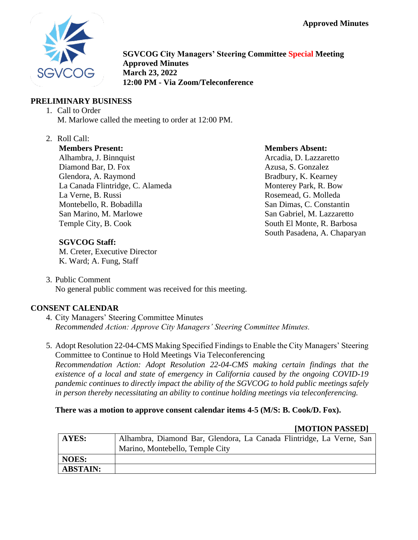**Approved Minutes**



**SGVCOG City Managers' Steering Committee Special Meeting Approved Minutes March 23, 2022 12:00 PM - Via Zoom/Teleconference**

### **PRELIMINARY BUSINESS**

- 1. Call to Order M. Marlowe called the meeting to order at 12:00 PM.
- 2. Roll Call:

**Members Present:** Alhambra, J. Binnquist Diamond Bar, D. Fox Glendora, A. Raymond La Canada Flintridge, C. Alameda La Verne, B. Russi Montebello, R. Bobadilla San Marino, M. Marlowe Temple City, B. Cook

#### **Members Absent:**

Arcadia, D. Lazzaretto Azusa, S. Gonzalez Bradbury, K. Kearney Monterey Park, R. Bow Rosemead, G. Molleda San Dimas, C. Constantin San Gabriel, M. Lazzaretto South El Monte, R. Barbosa South Pasadena, A. Chaparyan

### **SGVCOG Staff:**

M. Creter, Executive Director K. Ward; A. Fung, Staff

3. Public Comment No general public comment was received for this meeting.

### **CONSENT CALENDAR**

- 4. City Managers' Steering Committee Minutes *Recommended Action: Approve City Managers' Steering Committee Minutes.*
- 5. Adopt Resolution 22-04-CMS Making Specified Findings to Enable the City Managers' Steering Committee to Continue to Hold Meetings Via Teleconferencing *Recommendation Action: Adopt Resolution 22-04-CMS making certain findings that the existence of a local and state of emergency in California caused by the ongoing COVID-19 pandemic continues to directly impact the ability of the SGVCOG to hold public meetings safely in person thereby necessitating an ability to continue holding meetings via teleconferencing.*

### **There was a motion to approve consent calendar items 4-5 (M/S: B. Cook/D. Fox).**

### **[MOTION PASSED]**

| AYES:           | Alhambra, Diamond Bar, Glendora, La Canada Flintridge, La Verne, San |
|-----------------|----------------------------------------------------------------------|
|                 | Marino, Montebello, Temple City                                      |
| <b>NOES:</b>    |                                                                      |
| <b>ABSTAIN:</b> |                                                                      |